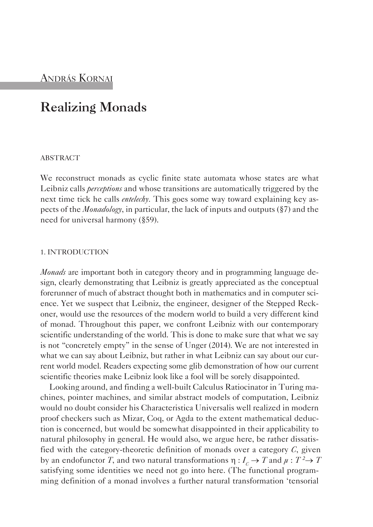# **Realizing Monads**

## **ABSTRACT**

We reconstruct monads as cyclic finite state automata whose states are what Leibniz calls *perceptions* and whose transitions are automatically triggered by the next time tick he calls *entelechy*. This goes some way toward explaining key aspects of the *Monadology*, in particular, the lack of inputs and outputs (§7) and the need for universal harmony (§59).

## 1. INTrODUCTION

*Monads* are important both in category theory and in programming language design, clearly demonstrating that Leibniz is greatly appreciated as the conceptual forerunner of much of abstract thought both in mathematics and in computer science. Yet we suspect that Leibniz, the engineer, designer of the Stepped Reckoner, would use the resources of the modern world to build a very different kind of monad. Throughout this paper, we confront Leibniz with our contemporary scientific understanding of the world. This is done to make sure that what we say is not "concretely empty" in the sense of Unger (2014). We are not interested in what we can say about Leibniz, but rather in what Leibniz can say about our current world model. Readers expecting some glib demonstration of how our current scientific theories make Leibniz look like a fool will be sorely disappointed.

Looking around, and finding a well-built Calculus Ratiocinator in Turing machines, pointer machines, and similar abstract models of computation, Leibniz would no doubt consider his Characteristica Universalis well realized in modern proof checkers such as Mizar, Coq, or Agda to the extent mathematical deduction is concerned, but would be somewhat disappointed in their applicability to natural philosophy in general. He would also, we argue here, be rather dissatisfied with the category-theoretic definition of monads over a category *C*, given by an endofunctor *T*, and two natural transformations  $\eta: I_c \to T$  and  $\mu: T^2 \to T$ satisfying some identities we need not go into here. (The functional programming definition of a monad involves a further natural transformation 'tensorial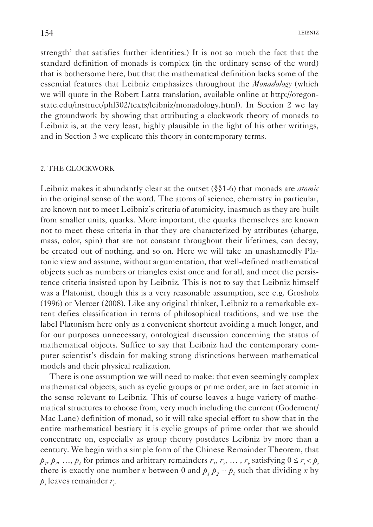strength' that satisfies further identities.) It is not so much the fact that the standard definition of monads is complex (in the ordinary sense of the word) that is bothersome here, but that the mathematical definition lacks some of the essential features that Leibniz emphasizes throughout the *Monadology* (which we will quote in the Robert Latta translation, available online at http://oregonstate.edu/instruct/phl302/texts/leibniz/monadology.html). In Section 2 we lay the groundwork by showing that attributing a clockwork theory of monads to Leibniz is, at the very least, highly plausible in the light of his other writings, and in Section 3 we explicate this theory in contemporary terms.

## 2. THE CLOCKWOrK

Leibniz makes it abundantly clear at the outset (§§1-6) that monads are *atomic* in the original sense of the word. The atoms of science, chemistry in particular, are known not to meet Leibniz's criteria of atomicity, inasmuch as they are built from smaller units, quarks. More important, the quarks themselves are known not to meet these criteria in that they are characterized by attributes (charge, mass, color, spin) that are not constant throughout their lifetimes, can decay, be created out of nothing, and so on. Here we will take an unashamedly platonic view and assume, without argumentation, that well-defined mathematical objects such as numbers or triangles exist once and for all, and meet the persistence criteria insisted upon by Leibniz. This is not to say that Leibniz himself was a Platonist, though this is a very reasonable assumption, see e.g. Grosholz (1996) or Mercer (2008). Like any original thinker, Leibniz to a remarkable extent defies classification in terms of philosophical traditions, and we use the label Platonism here only as a convenient shortcut avoiding a much longer, and for our purposes unnecessary, ontological discussion concerning the status of mathematical objects. Suffice to say that Leibniz had the contemporary computer scientist's disdain for making strong distinctions between mathematical models and their physical realization.

There is one assumption we will need to make: that even seemingly complex mathematical objects, such as cyclic groups or prime order, are in fact atomic in the sense relevant to Leibniz. This of course leaves a huge variety of mathematical structures to choose from, very much including the current (Godement/ Mac Lane) definition of monad, so it will take special effort to show that in the entire mathematical bestiary it is cyclic groups of prime order that we should concentrate on, especially as group theory postdates Leibniz by more than a century. We begin with a simple form of the Chinese Remainder Theorem, that  $p_1, p_2, ..., p_k$  for primes and arbitrary remainders  $r_1, r_2, ..., r_k$  satisfying  $0 \le r_i < p_i$ there is exactly one number *x* between 0 and  $p_1 p_2 \cdots p_k$  such that dividing *x* by  $p_i$  leaves remainder  $r_i$ .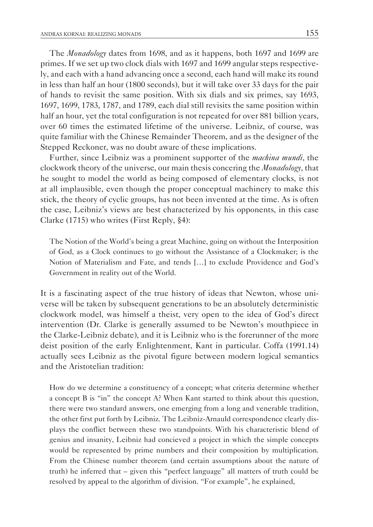The *Monadology* dates from 1698, and as it happens, both 1697 and 1699 are primes. If we set up two clock dials with 1697 and 1699 angular steps respectively, and each with a hand advancing once a second, each hand will make its round in less than half an hour (1800 seconds), but it will take over 33 days for the pair of hands to revisit the same position. With six dials and six primes, say 1693, 1697, 1699, 1783, 1787, and 1789, each dial still revisits the same position within half an hour, yet the total configuration is not repeated for over 881 billion years, over 60 times the estimated lifetime of the universe. Leibniz, of course, was quite familiar with the Chinese Remainder Theorem, and as the designer of the Stepped Reckoner, was no doubt aware of these implications.

Further, since Leibniz was a prominent supporter of the *machina mundi*, the clockwork theory of the universe, our main thesis concering the *Monadology*, that he sought to model the world as being composed of elementary clocks, is not at all implausible, even though the proper conceptual machinery to make this stick, the theory of cyclic groups, has not been invented at the time. As is often the case, Leibniz's views are best characterized by his opponents, in this case Clarke  $(1715)$  who writes (First Reply, §4):

The Notion of the World's being a great Machine, going on without the Interposition of God, as a Clock continues to go without the Assistance of a Clockmaker; is the Notion of Materialism and Fate, and tends […] to exclude providence and God's Government in reality out of the World.

It is a fascinating aspect of the true history of ideas that Newton, whose universe will be taken by subsequent generations to be an absolutely deterministic clockwork model, was himself a theist, very open to the idea of God's direct intervention (Dr. Clarke is generally assumed to be Newton's mouthpiece in the Clarke-Leibniz debate), and it is Leibniz who is the forerunner of the more deist position of the early Enlightenment, Kant in particular. Coffa (1991.14) actually sees Leibniz as the pivotal figure between modern logical semantics and the Aristotelian tradition:

How do we determine a constituency of a concept; what criteria determine whether a concept B is "in" the concept A? When Kant started to think about this question, there were two standard answers, one emerging from a long and venerable tradition, the other first put forth by Leibniz. The Leibniz-Arnauld correspondence clearly displays the conflict between these two standpoints. With his characteristic blend of genius and insanity, Leibniz had concieved a project in which the simple concepts would be represented by prime numbers and their composition by multiplication. From the Chinese number theorem (and certain assumptions about the nature of truth) he inferred that – given this "perfect language" all matters of truth could be resolved by appeal to the algorithm of division. "For example", he explained,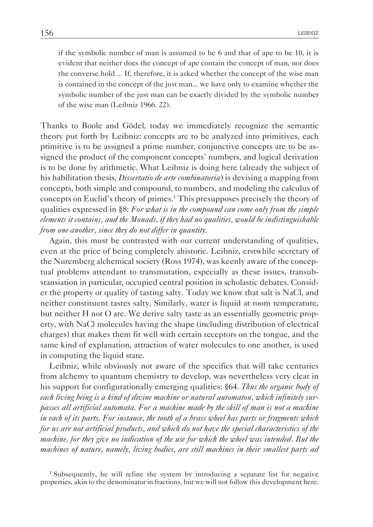if the symbolic number of man is assumed to be 6 and that of ape to be 10, it is evident that neither does the concept of ape contain the concept of man, nor does the converse hold ... If, therefore, it is asked whether the concept of the wise man is contained in the concept of the just man... we have only to examine whether the symbolic number of the just man can be exactly divided by the symbolic number of the wise man (Leibniz 1966. 22).

Thanks to Boole and Gödel, today we immediately recognize the semantic theory put forth by Leibniz: concepts are to be analyzed into primitives, each primitive is to be assigned a prime number, conjunctive concepts are to be assigned the product of the component concepts' numbers, and logical derivation is to be done by arithmetic. What Leibniz is doing here (already the subject of his habilitation thesis, *Dissertatio de arte combinatoria*) is devising a mapping from concepts, both simple and compound, to numbers, and modeling the calculus of concepts on Euclid's theory of primes.1 This presupposes precisely the theory of qualities expressed in §8: *For what is in the compound can come only from the simple elements it contains, and the Monads, if they had no qualities, would be indistinguishable from one another, since they do not differ in quantity.*

Again, this must be contrasted with our current understanding of qualities, even at the price of being completely ahistoric. Leibniz, erstwhile secretary of the Nuremberg alchemical society (Ross 1974), was keenly aware of the conceptual problems attendant to transmutation, especially as these issues, transubstansiation in particular, occupied central position in scholastic debates. Consider the property or quality of tasting salty. Today we know that salt is NaCl, and neither constituent tastes salty. Similarly, water is liquid at room temperature, but neither H nor O are. We derive salty taste as an essentially geometric property, with NaCl molecules having the shape (including distribution of electrical charges) that makes them fit well with certain receptors on the tongue, and the same kind of explanation, attraction of water molecules to one another, is used in computing the liquid state.

Leibniz, while obviously not aware of the specifics that will take centuries from alchemy to quantum chemistry to develop, was nevertheless very clear in his support for configurationally emerging qualities: §64. *Thus the organic body of each living being is a kind of divine machine or natural automaton, which infinitely surpasses all artificial automata. For a machine made by the skill of man is not a machine in each of its parts. For instance, the tooth of a brass wheel has parts or fragments which for us are not artificial products, and which do not have the special characteristics of the machine, for they give no indication of the use for which the wheel was intended. But the machines of nature, namely, living bodies, are still machines in their smallest parts ad* 

<sup>1</sup> Subsequently, he will refine the system by introducing a separate list for negative properties, akin to the denominator in fractions, but we will not follow this development here.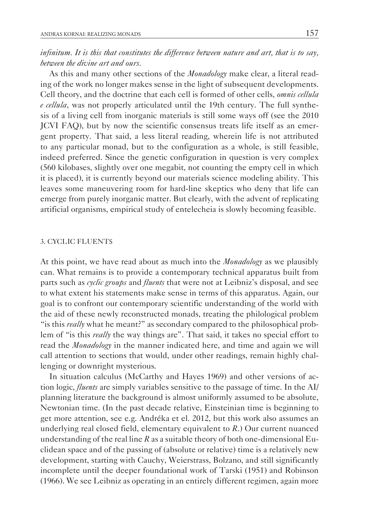# *infinitum. It is this that constitutes the difference between nature and art, that is to say, between the divine art and ours.*

As this and many other sections of the *Monadology* make clear, a literal reading of the work no longer makes sense in the light of subsequent developments. Cell theory, and the doctrine that each cell is formed of other cells, *omnis cellula e cellula*, was not properly articulated until the 19th century. The full synthesis of a living cell from inorganic materials is still some ways off (see the 2010 JCVI FAQ), but by now the scientific consensus treats life itself as an emergent property. That said, a less literal reading, wherein life is not attributed to any particular monad, but to the configuration as a whole, is still feasible, indeed preferred. Since the genetic configuration in question is very complex (560 kilobases, slightly over one megabit, not counting the empty cell in which it is placed), it is currently beyond our materials science modeling ability. This leaves some maneuvering room for hard-line skeptics who deny that life can emerge from purely inorganic matter. But clearly, with the advent of replicating artificial organisms, empirical study of entelecheia is slowly becoming feasible.

## 3. CYCLIC FLUENTS

At this point, we have read about as much into the *Monadology* as we plausibly can. What remains is to provide a contemporary technical apparatus built from parts such as *cyclic groups* and *fluents* that were not at Leibniz's disposal, and see to what extent his statements make sense in terms of this apparatus. Again, our goal is to confront our contemporary scientific understanding of the world with the aid of these newly reconstructed monads, treating the philological problem "is this *really* what he meant?" as secondary compared to the philosophical problem of "is this *really* the way things are". That said, it takes no special effort to read the *Monadology* in the manner indicated here, and time and again we will call attention to sections that would, under other readings, remain highly challenging or downright mysterious.

In situation calculus (McCarthy and Hayes 1969) and other versions of action logic, *fluents* are simply variables sensitive to the passage of time. In the AI/ planning literature the background is almost uniformly assumed to be absolute, Newtonian time. (In the past decade relative, Einsteinian time is beginning to get more attention, see e.g. Andréka et el. 2012, but this work also assumes an underlying real closed field, elementary equivalent to *R*.) Our current nuanced understanding of the real line  $R$  as a suitable theory of both one-dimensional Euclidean space and of the passing of (absolute or relative) time is a relatively new development, starting with Cauchy, Weierstrass, Bolzano, and still significantly incomplete until the deeper foundational work of Tarski (1951) and Robinson (1966). We see Leibniz as operating in an entirely different regimen, again more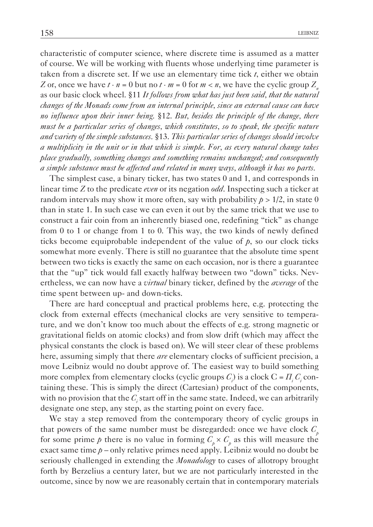characteristic of computer science, where discrete time is assumed as a matter of course. We will be working with fluents whose underlying time parameter is taken from a discrete set. If we use an elementary time tick *t*, either we obtain *Z* or, once we have  $t \cdot n = 0$  but no  $t \cdot m = 0$  for  $m < n$ , we have the cyclic group  $Z_n$ as our basic clock wheel. §11 *It follows from what has just been said, that the natural changes of the Monads come from an internal principle, since an external cause can have no influence upon their inner being.* §12. *But, besides the principle of the change, there must be a particular series of changes, which constitutes, so to speak, the specific nature and variety of the simple substances.* §13. *This particular series of changes should involve a multiplicity in the unit or in that which is simple. For, as every natural change takes place gradually, something changes and something remains unchanged; and consequently a simple substance must be affected and related in many ways, although it has no parts.*

The simplest case, a binary ticker, has two states 0 and 1, and corresponds in linear time *Z* to the predicate *even* or its negation *odd*. Inspecting such a ticker at random intervals may show it more often, say with probability  $p > 1/2$ , in state 0 than in state 1. In such case we can even it out by the same trick that we use to construct a fair coin from an inherently biased one, redefining "tick" as change from 0 to 1 or change from 1 to 0. This way, the two kinds of newly defined ticks become equiprobable independent of the value of  $p$ , so our clock ticks somewhat more evenly. There is still no guarantee that the absolute time spent between two ticks is exactly the same on each occasion, nor is there a guarantee that the "up" tick would fall exactly halfway between two "down" ticks. Nevertheless, we can now have a *virtual* binary ticker, defined by the *average* of the time spent between up- and down-ticks.

There are hard conceptual and practical problems here, e.g. protecting the clock from external effects (mechanical clocks are very sensitive to temperature, and we don't know too much about the effects of e.g. strong magnetic or gravitational fields on atomic clocks) and from slow drift (which may affect the physical constants the clock is based on). We will steer clear of these problems here, assuming simply that there *are* elementary clocks of sufficient precision, a move Leibniz would no doubt approve of. The easiest way to build something more complex from elementary clocks (cyclic groups  $C_i$ ) is a clock  $C = \prod_i C_i$  containing these. This is simply the direct (Cartesian) product of the components, with no provision that the  $C_i$  start off in the same state. Indeed, we can arbitrarily designate one step, any step, as the starting point on every face.

We stay a step removed from the contemporary theory of cyclic groups in that powers of the same number must be disregarded: once we have clock  $C_p$ for some prime  $p$  there is no value in forming  $C_p \times C_p$  as this will measure the exact same time  $p$  – only relative primes need apply. Leibniz would no doubt be seriously challenged in extending the *Monadology* to cases of allotropy brought forth by Berzelius a century later, but we are not particularly interested in the outcome, since by now we are reasonably certain that in contemporary materials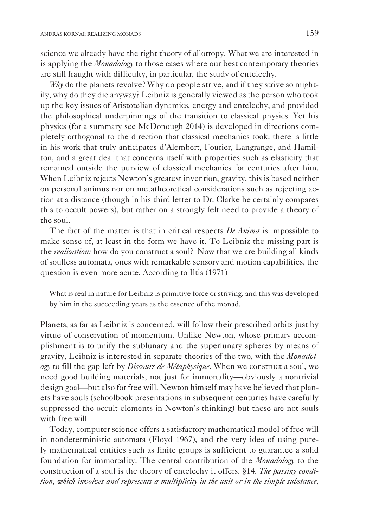science we already have the right theory of allotropy. What we are interested in is applying the *Monadology* to those cases where our best contemporary theories are still fraught with difficulty, in particular, the study of entelechy.

*Why* do the planets revolve? Why do people strive, and if they strive so mightily, why do they die anyway? Leibniz is generally viewed as the person who took up the key issues of Aristotelian dynamics, energy and entelechy, and provided the philosophical underpinnings of the transition to classical physics. Yet his physics (for a summary see McDonough 2014) is developed in directions completely orthogonal to the direction that classical mechanics took: there is little in his work that truly anticipates d'Alembert, Fourier, Langrange, and Hamilton, and a great deal that concerns itself with properties such as elasticity that remained outside the purview of classical mechanics for centuries after him. When Leibniz rejects Newton's greatest invention, gravity, this is based neither on personal animus nor on metatheoretical considerations such as rejecting action at a distance (though in his third letter to Dr. Clarke he certainly compares this to occult powers), but rather on a strongly felt need to provide a theory of the soul.

The fact of the matter is that in critical respects *De Anima* is impossible to make sense of, at least in the form we have it. To Leibniz the missing part is the *realization:* how do you construct a soul? Now that we are building all kinds of soulless automata, ones with remarkable sensory and motion capabilities, the question is even more acute. According to Iltis (1971)

What is real in nature for Leibniz is primitive force or striving, and this was developed by him in the succeeding years as the essence of the monad.

planets, as far as Leibniz is concerned, will follow their prescribed orbits just by virtue of conservation of momentum. Unlike Newton, whose primary accomplishment is to unify the sublunary and the superlunary spheres by means of gravity, Leibniz is interested in separate theories of the two, with the *Monadology* to fill the gap left by *Discours de Métaphysique*. When we construct a soul, we need good building materials, not just for immortality—obviously a nontrivial design goal—but also for free will. Newton himself may have believed that planets have souls (schoolbook presentations in subsequent centuries have carefully suppressed the occult elements in Newton's thinking) but these are not souls with free will.

Today, computer science offers a satisfactory mathematical model of free will in nondeterministic automata (Floyd 1967), and the very idea of using purely mathematical entities such as finite groups is sufficient to guarantee a solid foundation for immortality. The central contribution of the *Monadology* to the construction of a soul is the theory of entelechy it offers. §14. *The passing condition, which involves and represents a multiplicity in the unit or in the simple substance,*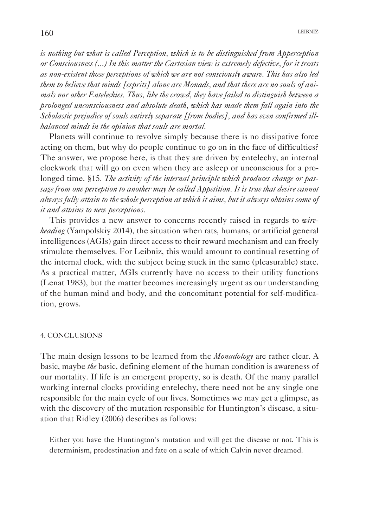*is nothing but what is called Perception, which is to be distinguished from Apperception or Consciousness (...) In this matter the Cartesian view is extremely defective, for it treats as non-existent those perceptions of which we are not consciously aware. This has also led them to believe that minds [esprits] alone are Monads, and that there are no souls of animals nor other Entelechies. Thus, like the crowd, they have failed to distinguish between a prolonged unconsciousness and absolute death, which has made them fall again into the Scholastic prejudice of souls entirely separate [from bodies], and has even confirmed illbalanced minds in the opinion that souls are mortal.*

planets will continue to revolve simply because there is no dissipative force acting on them, but why do people continue to go on in the face of difficulties? The answer, we propose here, is that they are driven by entelechy, an internal clockwork that will go on even when they are asleep or unconscious for a prolonged time. §15. *The activity of the internal principle which produces change or passage from one perception to another may be called Appetition. It is true that desire cannot always fully attain to the whole perception at which it aims, but it always obtains some of it and attains to new perceptions.*

This provides a new answer to concerns recently raised in regards to *wireheading* (Yampolskiy 2014), the situation when rats, humans, or artificial general intelligences (AGIs) gain direct access to their reward mechanism and can freely stimulate themselves. For Leibniz, this would amount to continual resetting of the internal clock, with the subject being stuck in the same (pleasurable) state. As a practical matter, AGIs currently have no access to their utility functions (Lenat 1983), but the matter becomes increasingly urgent as our understanding of the human mind and body, and the concomitant potential for self-modification, grows.

#### 4. CONCLUSIONS

The main design lessons to be learned from the *Monadology* are rather clear. A basic, maybe *the* basic, defining element of the human condition is awareness of our mortality. If life is an emergent property, so is death. Of the many parallel working internal clocks providing entelechy, there need not be any single one responsible for the main cycle of our lives. Sometimes we may get a glimpse, as with the discovery of the mutation responsible for Huntington's disease, a situation that Ridley (2006) describes as follows:

Either you have the Huntington's mutation and will get the disease or not. This is determinism, predestination and fate on a scale of which Calvin never dreamed.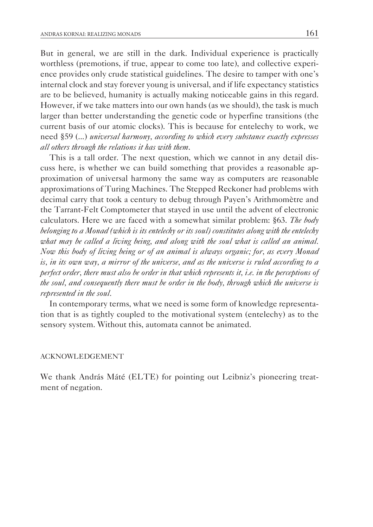But in general, we are still in the dark. Individual experience is practically worthless (premotions, if true, appear to come too late), and collective experience provides only crude statistical guidelines. The desire to tamper with one's internal clock and stay forever young is universal, and if life expectancy statistics are to be believed, humanity is actually making noticeable gains in this regard. However, if we take matters into our own hands (as we should), the task is much larger than better understanding the genetic code or hyperfine transitions (the current basis of our atomic clocks). This is because for entelechy to work, we need §59 (...) *universal harmony, according to which every substance exactly expresses all others through the relations it has with them*.

This is a tall order. The next question, which we cannot in any detail discuss here, is whether we can build something that provides a reasonable approximation of universal harmony the same way as computers are reasonable approximations of Turing Machines. The Stepped Reckoner had problems with decimal carry that took a century to debug through Payen's Arithmomètre and the Tarrant-Felt Comptometer that stayed in use until the advent of electronic calculators. Here we are faced with a somewhat similar problem: §63. *The body belonging to a Monad (which is its entelechy or its soul) constitutes along with the entelechy what may be called a living being, and along with the soul what is called an animal. Now this body of living being or of an animal is always organic; for, as every Monad is, in its own way, a mirror of the universe, and as the universe is ruled according to a perfect order, there must also be order in that which represents it, i.e. in the perceptions of the soul, and consequently there must be order in the body, through which the universe is represented in the soul.*

In contemporary terms, what we need is some form of knowledge representation that is as tightly coupled to the motivational system (entelechy) as to the sensory system. Without this, automata cannot be animated.

## ACKNOWLEDGEMENT

We thank András Máté (ELTE) for pointing out Leibniz's pioneering treatment of negation.